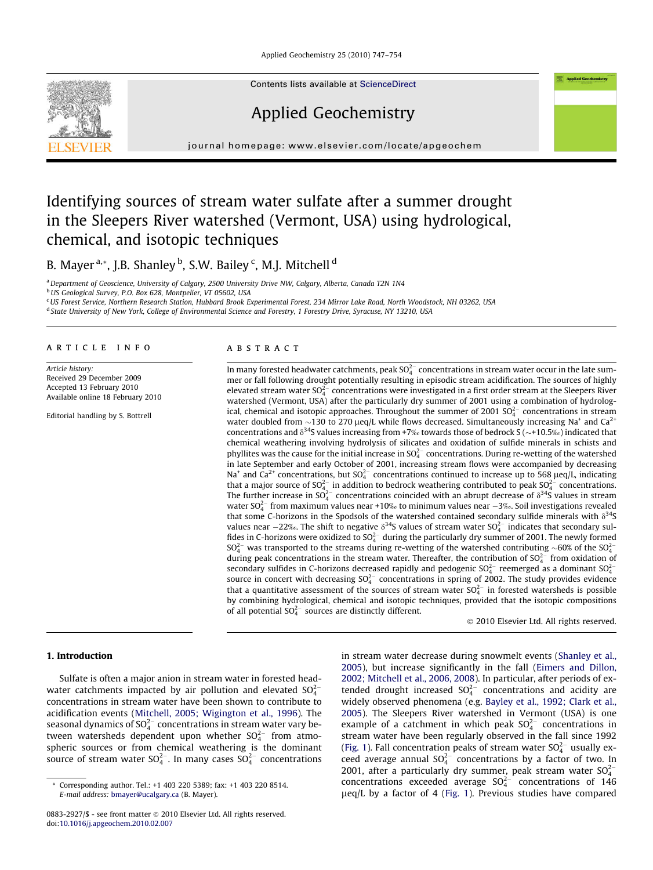Applied Geochemistry 25 (2010) 747–754



Contents lists available at [ScienceDirect](http://www.sciencedirect.com/science/journal/08832927)

# Applied Geochemistry

journal homepage: [www.elsevier.com/locate/apgeochem](http://www.elsevier.com/locate/apgeochem)

# Identifying sources of stream water sulfate after a summer drought in the Sleepers River watershed (Vermont, USA) using hydrological, chemical, and isotopic techniques

# B. Mayer <sup>a,</sup>\*, J.B. Shanley <sup>b</sup>, S.W. Bailey <sup>c</sup>, M.J. Mitchell <sup>d</sup>

<sup>a</sup> Department of Geoscience, University of Calgary, 2500 University Drive NW, Calgary, Alberta, Canada T2N 1N4

<sup>b</sup> US Geological Survey, P.O. Box 628, Montpelier, VT 05602, USA

<sup>c</sup>US Forest Service, Northern Research Station, Hubbard Brook Experimental Forest, 234 Mirror Lake Road, North Woodstock, NH 03262, USA

# article info

Article history: Received 29 December 2009 Accepted 13 February 2010 Available online 18 February 2010

Editorial handling by S. Bottrell

#### **ABSTRACT**

In many forested headwater catchments, peak SO $_4^{2-}$  concentrations in stream water occur in the late summer or fall following drought potentially resulting in episodic stream acidification. The sources of highly elevated stream water SO $_4^{2-}$  concentrations were investigated in a first order stream at the Sleepers River watershed (Vermont, USA) after the particularly dry summer of 2001 using a combination of hydrological, chemical and isotopic approaches. Throughout the summer of 2001  $SO_4^{2-}$  concentrations in stream water doubled from  $\sim$ 130 to 270 µeq/L while flows decreased. Simultaneously increasing Na<sup>+</sup> and Ca<sup>2+</sup> concentrations and  $\delta^{34}$ S values increasing from +7‰ towards those of bedrock S ( $\sim$ +10.5‰) indicated that chemical weathering involving hydrolysis of silicates and oxidation of sulfide minerals in schists and phyllites was the cause for the initial increase in  $SO_4^{2-}$  concentrations. During re-wetting of the watershed in late September and early October of 2001, increasing stream flows were accompanied by decreasing Na<sup>+</sup> and Ca<sup>2+</sup> concentrations, but SO<sub>4</sub><sup>-</sup> concentrations continued to increase up to 568 µeq/L, indicating that a major source of  $SO_4^{2-}$  in addition to bedrock weathering contributed to peak  $SO_4^{2-}$  concentrations. The further increase in SO $_4^{2-}$  concentrations coincided with an abrupt decrease of  $\delta^{34}$ S values in stream water SO $_4^{2-}$  from maximum values near +10‰ to minimum values near  $-3$ ‰. Soil investigations revealed that some C-horizons in the Spodsols of the watershed contained secondary sulfide minerals with  $\delta^{34}S$ values near  $-22\%$ . The shift to negative  $\delta^{34}S$  values of stream water SO $^{2-}_4$  indicates that secondary sulfides in C-horizons were oxidized to  $SO_4^{2-}$  during the particularly dry summer of 2001. The newly formed  $SO_4^{2-}$  was transported to the streams during re-wetting of the watershed contributing  $\sim$  60% of the SO $_4^{2-}$ during peak concentrations in the stream water. Thereafter, the contribution of  $SO_4^{2-}$  from oxidation of secondary sulfides in C-horizons decreased rapidly and pedogenic  $SO<sub>4</sub><sup>2</sup>$  reemerged as a dominant  $SO<sub>4</sub><sup>2</sup>$ source in concert with decreasing  $SO_4^{2-}$  concentrations in spring of 2002. The study provides evidence that a quantitative assessment of the sources of stream water  $SO_4^{2-}$  in forested watersheds is possible by combining hydrological, chemical and isotopic techniques, provided that the isotopic compositions of all potential  $SO_4^{2-}$  sources are distinctly different.

- 2010 Elsevier Ltd. All rights reserved.

# 1. Introduction

Sulfate is often a major anion in stream water in forested headwater catchments impacted by air pollution and elevated  $SO_4^{2-}$ concentrations in stream water have been shown to contribute to acidification events [\(Mitchell, 2005; Wigington et al., 1996\)](#page-6-0). The seasonal dynamics of SO $_4^{2-}$  concentrations in stream water vary between watersheds dependent upon whether  $SO_4^{2-}$  from atmospheric sources or from chemical weathering is the dominant source of stream water SO $_4^{2-}$ . In many cases SO $_4^{2-}$  concentrations

in stream water decrease during snowmelt events [\(Shanley et al.,](#page-7-0) [2005](#page-7-0)), but increase significantly in the fall ([Eimers and Dillon,](#page-6-0) [2002; Mitchell et al., 2006, 2008](#page-6-0)). In particular, after periods of extended drought increased  $SO_4^{2-}$  concentrations and acidity are widely observed phenomena (e.g. [Bayley et al., 1992; Clark et al.,](#page-6-0) [2005](#page-6-0)). The Sleepers River watershed in Vermont (USA) is one example of a catchment in which peak  $SO_4^{2-}$  concentrations in stream water have been regularly observed in the fall since 1992 ([Fig. 1\)](#page-1-0). Fall concentration peaks of stream water  $SO_4^{2-}$  usually exceed average annual  $SO_4^{2-}$  concentrations by a factor of two. In 2001, after a particularly dry summer, peak stream water  $SO_4^{2-}$ concentrations exceeded average  $SO_4^{2-}$  concentrations of 146  $\mu$ eq/L by a factor of 4 [\(Fig. 1\)](#page-1-0). Previous studies have compared

<sup>d</sup> State University of New York, College of Environmental Science and Forestry, 1 Forestry Drive, Syracuse, NY 13210, USA

Corresponding author. Tel.: +1 403 220 5389; fax: +1 403 220 8514. E-mail address: [bmayer@ucalgary.ca](mailto:bmayer@ucalgary.ca) (B. Mayer).

<sup>0883-2927/\$ -</sup> see front matter © 2010 Elsevier Ltd. All rights reserved. doi[:10.1016/j.apgeochem.2010.02.007](http://dx.doi.org/10.1016/j.apgeochem.2010.02.007)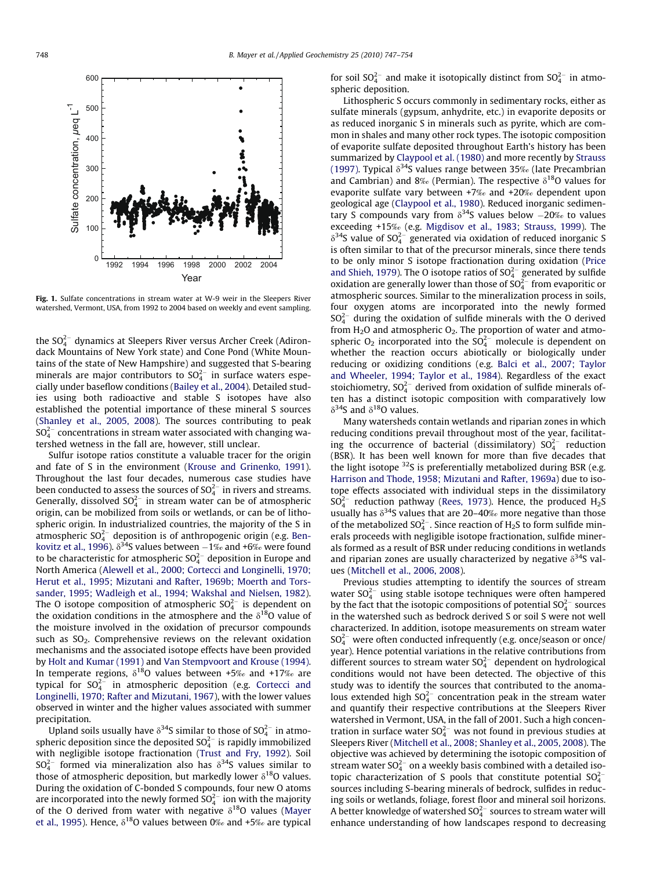<span id="page-1-0"></span>

Fig. 1. Sulfate concentrations in stream water at W-9 weir in the Sleepers River watershed, Vermont, USA, from 1992 to 2004 based on weekly and event sampling.

the SO $_4^{2-}$  dynamics at Sleepers River versus Archer Creek (Adirondack Mountains of New York state) and Cone Pond (White Mountains of the state of New Hampshire) and suggested that S-bearing minerals are major contributors to SO $_4^{2-}$  in surface waters especially under baseflow conditions ([Bailey et al., 2004\)](#page-6-0). Detailed studies using both radioactive and stable S isotopes have also established the potential importance of these mineral S sources ([Shanley et al., 2005, 2008](#page-7-0)). The sources contributing to peak  $\mathsf{SO}_4^{2-}$  concentrations in stream water associated with changing watershed wetness in the fall are, however, still unclear.

Sulfur isotope ratios constitute a valuable tracer for the origin and fate of S in the environment [\(Krouse and Grinenko, 1991\)](#page-6-0). Throughout the last four decades, numerous case studies have been conducted to assess the sources of SO $_4^{2-}$  in rivers and streams. Generally, dissolved SO $_4^{2-}$  in stream water can be of atmospheric origin, can be mobilized from soils or wetlands, or can be of lithospheric origin. In industrialized countries, the majority of the S in atmospheric SO $_4^{2-}$  deposition is of anthropogenic origin (e.g. [Ben](#page-6-0)[kovitz et al., 1996\)](#page-6-0).  $\delta^{34}$ S values between  $-1\%$  and +6‰ were found to be characteristic for atmospheric SO $_4^{2-}$  deposition in Europe and North America ([Alewell et al., 2000; Cortecci and Longinelli, 1970;](#page-6-0) [Herut et al., 1995; Mizutani and Rafter, 1969b; Moerth and Tors](#page-6-0)[sander, 1995; Wadleigh et al., 1994; Wakshal and Nielsen, 1982\)](#page-6-0). The O isotope composition of atmospheric SO $_4^{2-}$  is dependent on the oxidation conditions in the atmosphere and the  $\delta^{18}$ O value of the moisture involved in the oxidation of precursor compounds such as  $SO_2$ . Comprehensive reviews on the relevant oxidation mechanisms and the associated isotope effects have been provided by [Holt and Kumar \(1991\)](#page-6-0) and [Van Stempvoort and Krouse \(1994\).](#page-7-0) In temperate regions,  $\delta^{18}O$  values between +5‰ and +17‰ are typical for  $SO_4^{2-}$  in atmospheric deposition (e.g. [Cortecci and](#page-6-0) [Longinelli, 1970; Rafter and Mizutani, 1967](#page-6-0)), with the lower values observed in winter and the higher values associated with summer precipitation.

Upland soils usually have  $\delta^{34}$ S similar to those of SO $_4^{2-}$  in atmospheric deposition since the deposited SO $_4^{2-}$  is rapidly immobilized with negligible isotope fractionation [\(Trust and Fry, 1992](#page-7-0)). Soil  $SO_4^{2-}$  formed via mineralization also has  $\delta^{34}S$  values similar to those of atmospheric deposition, but markedly lower  $\delta^{18}$ O values. During the oxidation of C-bonded S compounds, four new O atoms are incorporated into the newly formed SO $_4^{2-}$  ion with the majority of the O derived from water with negative  $\delta^{18}$ O values ([Mayer](#page-6-0) [et al., 1995\)](#page-6-0). Hence,  $\delta^{18}$ O values between 0‰ and +5‰ are typical for soil  $SO_4^{2-}$  and make it isotopically distinct from  $SO_4^{2-}$  in atmospheric deposition.

Lithospheric S occurs commonly in sedimentary rocks, either as sulfate minerals (gypsum, anhydrite, etc.) in evaporite deposits or as reduced inorganic S in minerals such as pyrite, which are common in shales and many other rock types. The isotopic composition of evaporite sulfate deposited throughout Earth's history has been summarized by [Claypool et al. \(1980\)](#page-6-0) and more recently by [Strauss](#page-7-0) [\(1997\).](#page-7-0) Typical  $\delta^{34}$ S values range between 35‰ (late Precambrian and Cambrian) and 8‰ (Permian). The respective  $\delta^{18}$ O values for evaporite sulfate vary between +7‰ and +20‰ dependent upon geological age ([Claypool et al., 1980\)](#page-6-0). Reduced inorganic sedimentary S compounds vary from  $\delta^{34}$ S values below  $-20\%$  to values exceeding +15‰ (e.g. [Migdisov et al., 1983; Strauss, 1999](#page-6-0)). The  $\delta^{34}$ S value of SO $_4^{2-}$  generated via oxidation of reduced inorganic S is often similar to that of the precursor minerals, since there tends to be only minor S isotope fractionation during oxidation [\(Price](#page-6-0) [and Shieh, 1979\)](#page-6-0). The O isotope ratios of  $SO_4^{2-}$  generated by sulfide oxidation are generally lower than those of  $SO_4^{2-}$  from evaporitic or atmospheric sources. Similar to the mineralization process in soils, four oxygen atoms are incorporated into the newly formed  $SO_4^{2-}$  during the oxidation of sulfide minerals with the O derived from  $H_2O$  and atmospheric  $O_2$ . The proportion of water and atmospheric  $O_2$  incorporated into the  $SO_4^{2-}$  molecule is dependent on whether the reaction occurs abiotically or biologically under reducing or oxidizing conditions (e.g. [Balci et al., 2007; Taylor](#page-6-0) [and Wheeler, 1994; Taylor et al., 1984\)](#page-6-0). Regardless of the exact stoichiometry,  $SO_4^{2-}$  derived from oxidation of sulfide minerals often has a distinct isotopic composition with comparatively low  $\delta^{34}S$  and  $\delta^{18}O$  values.

Many watersheds contain wetlands and riparian zones in which reducing conditions prevail throughout most of the year, facilitating the occurrence of bacterial (dissimilatory)  $SO_4^{2-}$  reduction (BSR). It has been well known for more than five decades that the light isotope  $32$ S is preferentially metabolized during BSR (e.g. [Harrison and Thode, 1958; Mizutani and Rafter, 1969a](#page-6-0)) due to isotope effects associated with individual steps in the dissimilatory  $SO_4^{2-}$  reduction pathway [\(Rees, 1973](#page-6-0)). Hence, the produced  $H_2S$ usually has  $\delta^{34}$ S values that are 20–40‰ more negative than those of the metabolized  $SO_4^{2-}$ . Since reaction of H<sub>2</sub>S to form sulfide minerals proceeds with negligible isotope fractionation, sulfide minerals formed as a result of BSR under reducing conditions in wetlands and riparian zones are usually characterized by negative  $\delta^{34}$ S values [\(Mitchell et al., 2006, 2008\)](#page-6-0).

Previous studies attempting to identify the sources of stream water  $SO_4^{2-}$  using stable isotope techniques were often hampered by the fact that the isotopic compositions of potential  $SO_4^{2-}$  sources in the watershed such as bedrock derived S or soil S were not well characterized. In addition, isotope measurements on stream water  $SO_4^{2-}$  were often conducted infrequently (e.g. once/season or once/ year). Hence potential variations in the relative contributions from different sources to stream water  $SO_4^{2-}$  dependent on hydrological conditions would not have been detected. The objective of this study was to identify the sources that contributed to the anomalous extended high  $SO_4^{2-}$  concentration peak in the stream water and quantify their respective contributions at the Sleepers River watershed in Vermont, USA, in the fall of 2001. Such a high concentration in surface water  $SO_4^{2-}$  was not found in previous studies at Sleepers River [\(Mitchell et al., 2008; Shanley et al., 2005, 2008](#page-6-0)). The objective was achieved by determining the isotopic composition of stream water  $SO_4^{2-}$  on a weekly basis combined with a detailed isotopic characterization of S pools that constitute potential  $SO_4^{2-}$ sources including S-bearing minerals of bedrock, sulfides in reducing soils or wetlands, foliage, forest floor and mineral soil horizons. A better knowledge of watershed  $SO_4^{2-}$  sources to stream water will enhance understanding of how landscapes respond to decreasing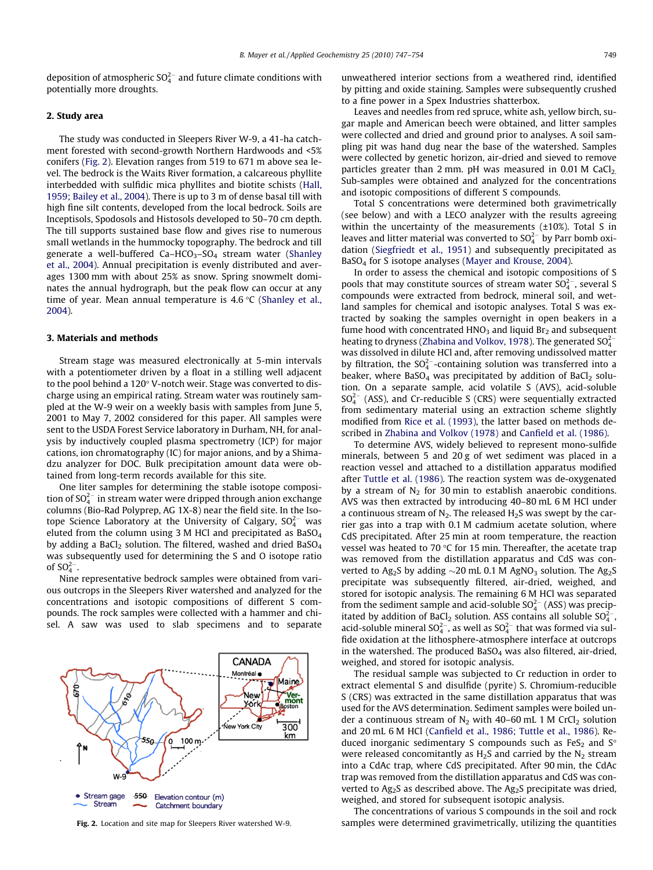deposition of atmospheric SO $_4^{2-}$  and future climate conditions with potentially more droughts.

# 2. Study area

The study was conducted in Sleepers River W-9, a 41-ha catchment forested with second-growth Northern Hardwoods and <5% conifers (Fig. 2). Elevation ranges from 519 to 671 m above sea level. The bedrock is the Waits River formation, a calcareous phyllite interbedded with sulfidic mica phyllites and biotite schists [\(Hall,](#page-6-0) [1959; Bailey et al., 2004](#page-6-0)). There is up to 3 m of dense basal till with high fine silt contents, developed from the local bedrock. Soils are Inceptisols, Spodosols and Histosols developed to 50–70 cm depth. The till supports sustained base flow and gives rise to numerous small wetlands in the hummocky topography. The bedrock and till generate a well-buffered Ca-HCO<sub>3</sub>-SO<sub>4</sub> stream water ([Shanley](#page-6-0) [et al., 2004](#page-6-0)). Annual precipitation is evenly distributed and averages 1300 mm with about 25% as snow. Spring snowmelt dominates the annual hydrograph, but the peak flow can occur at any time of year. Mean annual temperature is  $4.6 \degree C$  ([Shanley et al.,](#page-6-0) [2004](#page-6-0)).

#### 3. Materials and methods

Stream stage was measured electronically at 5-min intervals with a potentiometer driven by a float in a stilling well adjacent to the pool behind a 120° V-notch weir. Stage was converted to discharge using an empirical rating. Stream water was routinely sampled at the W-9 weir on a weekly basis with samples from June 5, 2001 to May 7, 2002 considered for this paper. All samples were sent to the USDA Forest Service laboratory in Durham, NH, for analysis by inductively coupled plasma spectrometry (ICP) for major cations, ion chromatography (IC) for major anions, and by a Shimadzu analyzer for DOC. Bulk precipitation amount data were obtained from long-term records available for this site.

One liter samples for determining the stable isotope composition of SO $_4^{2-}$  in stream water were dripped through anion exchange columns (Bio-Rad Polyprep, AG 1X-8) near the field site. In the Isotope Science Laboratory at the University of Calgary,  $\mathrm{SO}_4^{2-}$  was eluted from the column using 3 M HCl and precipitated as BaSO<sub>4</sub> by adding a BaCl<sub>2</sub> solution. The filtered, washed and dried BaSO<sub>4</sub> was subsequently used for determining the S and O isotope ratio of  $SO_4^{2-}$ .

Nine representative bedrock samples were obtained from various outcrops in the Sleepers River watershed and analyzed for the concentrations and isotopic compositions of different S compounds. The rock samples were collected with a hammer and chisel. A saw was used to slab specimens and to separate



unweathered interior sections from a weathered rind, identified by pitting and oxide staining. Samples were subsequently crushed to a fine power in a Spex Industries shatterbox.

Leaves and needles from red spruce, white ash, yellow birch, sugar maple and American beech were obtained, and litter samples were collected and dried and ground prior to analyses. A soil sampling pit was hand dug near the base of the watershed. Samples were collected by genetic horizon, air-dried and sieved to remove particles greater than 2 mm. pH was measured in  $0.01$  M CaCl<sub>2.</sub> Sub-samples were obtained and analyzed for the concentrations and isotopic compositions of different S compounds.

Total S concentrations were determined both gravimetrically (see below) and with a LECO analyzer with the results agreeing within the uncertainty of the measurements (±10%). Total S in leaves and litter material was converted to  $SO_4^{2-}$  by Parr bomb oxidation [\(Siegfriedt et al., 1951\)](#page-7-0) and subsequently precipitated as BaSO<sub>4</sub> for S isotope analyses [\(Mayer and Krouse, 2004\)](#page-6-0).

In order to assess the chemical and isotopic compositions of S pools that may constitute sources of stream water  $SO_4^{2-}$ , several S compounds were extracted from bedrock, mineral soil, and wetland samples for chemical and isotopic analyses. Total S was extracted by soaking the samples overnight in open beakers in a fume hood with concentrated  $HNO<sub>3</sub>$  and liquid  $Br<sub>2</sub>$  and subsequent heating to dryness ([Zhabina and Volkov, 1978\)](#page-7-0). The generated  ${SO_4^{2-}}$ was dissolved in dilute HCl and, after removing undissolved matter by filtration, the  $SO_4^{2-}$ -containing solution was transferred into a beaker, where BaSO<sub>4</sub> was precipitated by addition of BaCl<sub>2</sub> solution. On a separate sample, acid volatile S (AVS), acid-soluble  $SO_4^{2-}$  (ASS), and Cr-reducible S (CRS) were sequentially extracted from sedimentary material using an extraction scheme slightly modified from [Rice et al. \(1993\)](#page-6-0), the latter based on methods described in [Zhabina and Volkov \(1978\)](#page-7-0) and [Canfield et al. \(1986\).](#page-6-0)

To determine AVS, widely believed to represent mono-sulfide minerals, between 5 and 20 g of wet sediment was placed in a reaction vessel and attached to a distillation apparatus modified after [Tuttle et al. \(1986\)](#page-7-0). The reaction system was de-oxygenated by a stream of  $N<sub>2</sub>$  for 30 min to establish anaerobic conditions. AVS was then extracted by introducing 40–80 mL 6 M HCl under a continuous stream of  $N<sub>2</sub>$ . The released  $H<sub>2</sub>S$  was swept by the carrier gas into a trap with 0.1 M cadmium acetate solution, where CdS precipitated. After 25 min at room temperature, the reaction vessel was heated to 70  $\degree$ C for 15 min. Thereafter, the acetate trap was removed from the distillation apparatus and CdS was converted to Ag<sub>2</sub>S by adding  $\sim$  20 mL 0.1 M AgNO<sub>3</sub> solution. The Ag<sub>2</sub>S precipitate was subsequently filtered, air-dried, weighed, and stored for isotopic analysis. The remaining 6 M HCl was separated from the sediment sample and acid-soluble  $SO_4^{2-}$  (ASS) was precipitated by addition of BaCl<sub>2</sub> solution. ASS contains all soluble SO $_4^{2-}$ , acid-soluble mineral SO $_4^{2-}$ , as well as SO $_4^{2-}$  that was formed via sulfide oxidation at the lithosphere-atmosphere interface at outcrops in the watershed. The produced Ba $SO<sub>4</sub>$  was also filtered, air-dried, weighed, and stored for isotopic analysis.

The residual sample was subjected to Cr reduction in order to extract elemental S and disulfide (pyrite) S. Chromium-reducible S (CRS) was extracted in the same distillation apparatus that was used for the AVS determination. Sediment samples were boiled under a continuous stream of  $N_2$  with 40–60 mL 1 M CrCl<sub>2</sub> solution and 20 mL 6 M HCl [\(Canfield et al., 1986; Tuttle et al., 1986](#page-6-0)). Reduced inorganic sedimentary S compounds such as  $FeS<sub>2</sub>$  and  $S<sup>o</sup>$ were released concomitantly as  $H_2S$  and carried by the  $N_2$  stream into a CdAc trap, where CdS precipitated. After 90 min, the CdAc trap was removed from the distillation apparatus and CdS was converted to Ag<sub>2</sub>S as described above. The Ag<sub>2</sub>S precipitate was dried, weighed, and stored for subsequent isotopic analysis.

The concentrations of various S compounds in the soil and rock Fig. 2. Location and site map for Sleepers River watershed W-9. Samples were determined gravimetrically, utilizing the quantities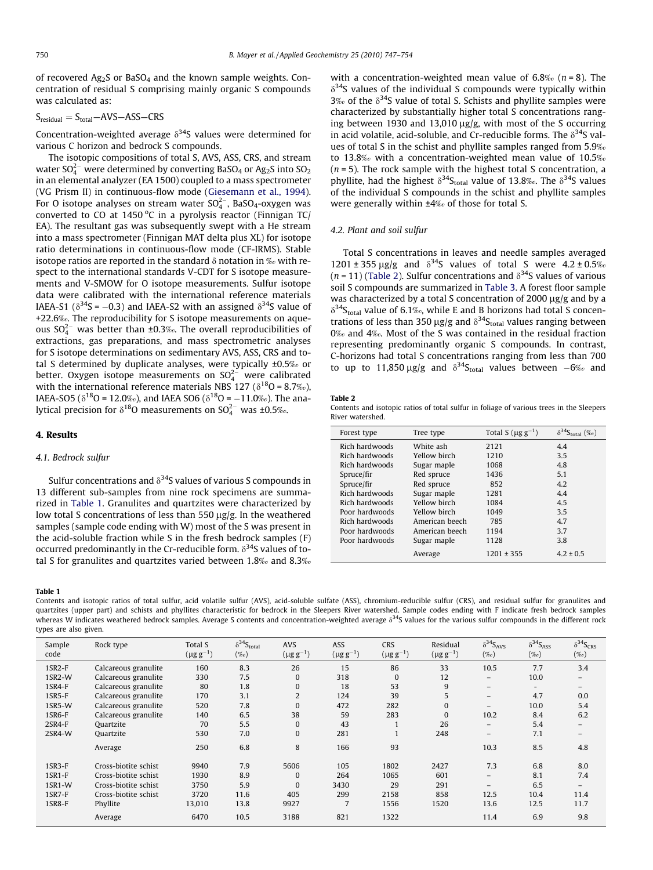<span id="page-3-0"></span>of recovered Ag2S or BaSO4 and the known sample weights. Concentration of residual S comprising mainly organic S compounds was calculated as:

 $S_{residual} = S_{total} - AVS - ASS - CRS$ 

Concentration-weighted average  $\delta^{34}S$  values were determined for various C horizon and bedrock S compounds.

The isotopic compositions of total S, AVS, ASS, CRS, and stream water SO $_4^{2-}$  were determined by converting BaSO $_4$  or Ag $_2$ S into SO $_2$ in an elemental analyzer (EA 1500) coupled to a mass spectrometer (VG Prism II) in continuous-flow mode ([Giesemann et al., 1994\)](#page-6-0). For O isotope analyses on stream water SO $_4^2$ -, BaSO $_4$ -oxygen was converted to CO at 1450  $\rm{^oC}$  in a pyrolysis reactor (Finnigan TC/ EA). The resultant gas was subsequently swept with a He stream into a mass spectrometer (Finnigan MAT delta plus XL) for isotope ratio determinations in continuous-flow mode (CF-IRMS). Stable isotope ratios are reported in the standard  $\delta$  notation in ‰ with respect to the international standards V-CDT for S isotope measurements and V-SMOW for O isotope measurements. Sulfur isotope data were calibrated with the international reference materials IAEA-S1 ( $\delta^{34}$ S = -0.3) and IAEA-S2 with an assigned  $\delta^{34}$ S value of +22.6‰. The reproducibility for S isotope measurements on aqueous  $SO_4^{2-}$  was better than ±0.3‰. The overall reproducibilities of extractions, gas preparations, and mass spectrometric analyses for S isotope determinations on sedimentary AVS, ASS, CRS and total S determined by duplicate analyses, were typically ±0.5‰ or better. Oxygen isotope measurements on  $\mathrm{SO}_4^{2-}$  were calibrated with the international reference materials NBS 127 ( $\delta^{18}O = 8.7\%$ ), IAEA-SO5 ( $\delta^{18}O = 12.0\%$ ), and IAEA SO6 ( $\delta^{18}O = -11.0\%$ ). The analytical precision for  $\delta^{18}$ O measurements on SO $_4^{2-}$  was ±0.5‰.

## 4. Results

# 4.1. Bedrock sulfur

Sulfur concentrations and  $\delta^{34}$ S values of various S compounds in 13 different sub-samples from nine rock specimens are summarized in Table 1. Granulites and quartzites were characterized by low total S concentrations of less than 550  $\mu$ g/g. In the weathered samples (sample code ending with W) most of the S was present in the acid-soluble fraction while S in the fresh bedrock samples (F) occurred predominantly in the Cr-reducible form.  $\delta^{34}$ S values of total S for granulites and quartzites varied between 1.8‰ and 8.3‰

### Table 1

Contents and isotopic ratios of total sulfur, acid volatile sulfur (AVS), acid-soluble sulfate (ASS), chromium-reducible sulfur (CRS), and residual sulfur for granulites and quartzites (upper part) and schists and phyllites characteristic for bedrock in the Sleepers River watershed. Sample codes ending with F indicate fresh bedrock samples whereas W indicates weathered bedrock samples. Average S contents and concentration-weighted average  $\delta^{34}S$  values for the various sulfur compounds in the different rock types are also given.

| Sample<br>code         | Rock type            | Total S<br>$(\mu g g^{-1})$ | $\delta^{34}S_{total}$<br>$(\%)$ | <b>AVS</b><br>$(\mu g\,g^{-1})$ | <b>ASS</b><br>$(\mu g\,g^{-1})$ | <b>CRS</b><br>$(\mu\mathrm{g\,g^{-1}})$ | Residual<br>$(\mu\mathrm{g\,g^{-1}})$ | $\delta^{34}S_{AVS}$<br>$(\%o)$ | $\delta^{34}S_{ASS}$<br>$(\%o)$ | $\delta^{34}S_{CRS}$<br>$(\%o)$ |
|------------------------|----------------------|-----------------------------|----------------------------------|---------------------------------|---------------------------------|-----------------------------------------|---------------------------------------|---------------------------------|---------------------------------|---------------------------------|
| $1$ SR <sub>2</sub> -F | Calcareous granulite | 160                         | 8.3                              | 26                              | 15                              | 86                                      | 33                                    | 10.5                            | 7.7                             | 3.4                             |
| 1SR2-W                 | Calcareous granulite | 330                         | 7.5                              | $\mathbf{0}$                    | 318                             | $\mathbf{0}$                            | 12                                    | $\overline{\phantom{m}}$        | 10.0                            | $\qquad \qquad -$               |
| $1$ SR4-F              | Calcareous granulite | 80                          | 1.8                              | 0                               | 18                              | 53                                      | 9                                     | $\qquad \qquad -$               | $\overline{\phantom{0}}$        | -                               |
| 1SR5-F                 | Calcareous granulite | 170                         | 3.1                              | 2                               | 124                             | 39                                      | 5                                     | $\overline{\phantom{0}}$        | 4.7                             | 0.0                             |
| 1SR5-W                 | Calcareous granulite | 520                         | 7.8                              | $\bf{0}$                        | 472                             | 282                                     | 0                                     | -                               | 10.0                            | 5.4                             |
| 1SR6-F                 | Calcareous granulite | 140                         | 6.5                              | 38                              | 59                              | 283                                     | $\Omega$                              | 10.2                            | 8.4                             | 6.2                             |
| $2$ SR4-F              | Quartzite            | 70                          | 5.5                              | $\mathbf{0}$                    | 43                              |                                         | 26                                    | $\overline{\phantom{m}}$        | 5.4                             | $-$                             |
| 2SR4-W                 | Quartzite            | 530                         | 7.0                              | $\bf{0}$                        | 281                             |                                         | 248                                   | $\overline{\phantom{0}}$        | 7.1                             | -                               |
|                        | Average              | 250                         | 6.8                              | 8                               | 166                             | 93                                      |                                       | 10.3                            | 8.5                             | 4.8                             |
| $1$ SR3-F              | Cross-biotite schist | 9940                        | 7.9                              | 5606                            | 105                             | 1802                                    | 2427                                  | 7.3                             | 6.8                             | 8.0                             |
| 1SR1-F                 | Cross-biotite schist | 1930                        | 8.9                              | $\mathbf{0}$                    | 264                             | 1065                                    | 601                                   | $\qquad \qquad -$               | 8.1                             | 7.4                             |
| 1SR1-W                 | Cross-biotite schist | 3750                        | 5.9                              | $\bf{0}$                        | 3430                            | 29                                      | 291                                   | -                               | 6.5                             | $-$                             |
| $1$ SR7-F              | Cross-biotite schist | 3720                        | 11.6                             | 405                             | 299                             | 2158                                    | 858                                   | 12.5                            | 10.4                            | 11.4                            |
| 1SR8-F                 | Phyllite             | 13,010                      | 13.8                             | 9927                            |                                 | 1556                                    | 1520                                  | 13.6                            | 12.5                            | 11.7                            |
|                        | Average              | 6470                        | 10.5                             | 3188                            | 821                             | 1322                                    |                                       | 11.4                            | 6.9                             | 9.8                             |

with a concentration-weighted mean value of  $6.8\%$  ( $n = 8$ ). The  $\delta^{34}$ S values of the individual S compounds were typically within  $3\%$  of the  $\delta^{34}$ S value of total S. Schists and phyllite samples were characterized by substantially higher total S concentrations ranging between 1930 and 13,010  $\mu$ g/g, with most of the S occurring in acid volatile, acid-soluble, and Cr-reducible forms. The  $\delta^{34}S$  values of total S in the schist and phyllite samples ranged from 5.9‰ to 13.8‰ with a concentration-weighted mean value of 10.5‰  $(n = 5)$ . The rock sample with the highest total S concentration, a phyllite, had the highest  $\delta^{34}S_{total}$  value of 13.8‰. The  $\delta^{34}S$  values of the individual S compounds in the schist and phyllite samples were generally within ±4‰ of those for total S.

#### 4.2. Plant and soil sulfur

Total S concentrations in leaves and needle samples averaged  $1201 \pm 355 \text{ µg/g}$  and  $\delta^{34}$ S values of total S were  $4.2 \pm 0.5\%$  $(n = 11)$  (Table 2). Sulfur concentrations and  $\delta^{34}$ S values of various soil S compounds are summarized in [Table 3](#page-4-0). A forest floor sample was characterized by a total S concentration of 2000  $\mu$ g/g and by a  $\delta^{34}S_{total}$  value of 6.1‰, while E and B horizons had total S concentrations of less than 350  $\mu$ g/g and  $\delta^{34}S_{total}$  values ranging between 0‰ and 4‰. Most of the S was contained in the residual fraction representing predominantly organic S compounds. In contrast, C-horizons had total S concentrations ranging from less than 700 to up to 11,850  $\mu$ g/g and  $\delta^{34}S_{total}$  values between  $-6\%$  and

#### Table 2

Contents and isotopic ratios of total sulfur in foliage of various trees in the Sleepers River watershed.

| Forest type    | Tree type      | Total S $(\mu g g^{-1})$ | total $(\%e)$ |
|----------------|----------------|--------------------------|---------------|
| Rich hardwoods | White ash      | 2121                     | 4.4           |
| Rich hardwoods | Yellow birch   | 1210                     | 3.5           |
| Rich hardwoods | Sugar maple    | 1068                     | 4.8           |
| Spruce/fir     | Red spruce     | 1436                     | 5.1           |
| Spruce/fir     | Red spruce     | 852                      | 4.2           |
| Rich hardwoods | Sugar maple    | 1281                     | 4.4           |
| Rich hardwoods | Yellow birch   | 1084                     | 4.5           |
| Poor hardwoods | Yellow birch   | 1049                     | 3.5           |
| Rich hardwoods | American beech | 785                      | 4.7           |
| Poor hardwoods | American beech | 1194                     | 3.7           |
| Poor hardwoods | Sugar maple    | 1128                     | 3.8           |
|                | Average        | $1201 \pm 355$           | $4.2 \pm 0.5$ |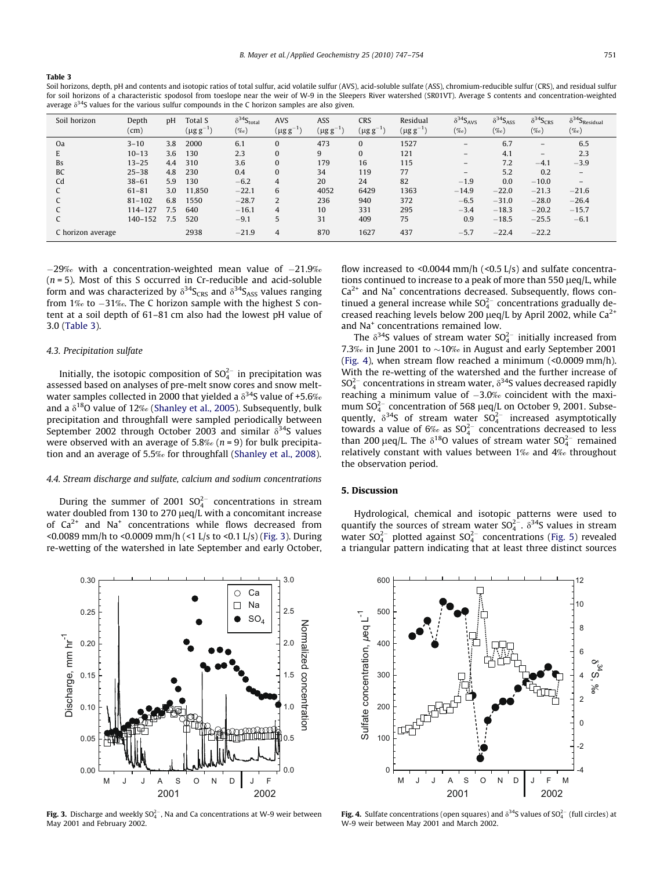#### <span id="page-4-0"></span>Table 3

Soil horizons, depth, pH and contents and isotopic ratios of total sulfur, acid volatile sulfur (AVS), acid-soluble sulfate (ASS), chromium-reducible sulfur (CRS), and residual sulfur for soil horizons of a characteristic spodosol from toeslope near the weir of W-9 in the Sleepers River watershed (SR01VT). Average S contents and concentration-weighted average  $\delta^{34}S$  values for the various sulfur compounds in the C horizon samples are also given.

| Soil horizon      | Depth<br>(cm) | pH  | Total S<br>$(\mu g g^{-1})$ | $\delta^{34}S_{total}$<br>$(\%o)$ | <b>AVS</b><br>$(\mu g g^{-1})$ | ASS<br>$(\mu g\,g^{-1})$ | <b>CRS</b><br>$(\mu g g^{-1})$ | Residual<br>$(\mu\mathrm{g\ g^{-1}})$ | $\delta^{34}S_{AVS}$<br>$(\%o)$ | $\delta^{34}S_{ASS}$<br>$(\%o)$ | $\delta^{34}S_{CRS}$<br>$(\%o)$ | $\delta^{34}S_{\rm Residual}$<br>$(\%o)$ |
|-------------------|---------------|-----|-----------------------------|-----------------------------------|--------------------------------|--------------------------|--------------------------------|---------------------------------------|---------------------------------|---------------------------------|---------------------------------|------------------------------------------|
| Oa                | $3 - 10$      | 3.8 | 2000                        | 6.1                               | $\mathbf{0}$                   | 473                      | $\Omega$                       | 1527                                  | -                               | 6.7                             | -                               | 6.5                                      |
| E                 | $10 - 13$     | 3.6 | 130                         | 2.3                               | $\mathbf{0}$                   | 9                        | $\Omega$                       | 121                                   | $\overline{\phantom{0}}$        | 4.1                             | -                               | 2.3                                      |
| <b>Bs</b>         | $13 - 25$     | 4.4 | 310                         | 3.6                               | $\mathbf{0}$                   | 179                      | 16                             | 115                                   | -                               | 7.2                             | $-4.1$                          | $-3.9$                                   |
| <b>BC</b>         | $25 - 38$     | 4.8 | 230                         | 0.4                               | $\mathbf{0}$                   | 34                       | 119                            | 77                                    | -                               | 5.2                             | 0.2                             | $\overline{\phantom{0}}$                 |
| Cd                | $38 - 61$     | 5.9 | 130                         | $-6.2$                            | 4                              | 20                       | 24                             | 82                                    | $-1.9$                          | 0.0                             | $-10.0$                         | $\qquad \qquad -$                        |
|                   | $61 - 81$     | 3.0 | 11,850                      | $-22.1$                           | 6                              | 4052                     | 6429                           | 1363                                  | $-14.9$                         | $-22.0$                         | $-21.3$                         | $-21.6$                                  |
|                   | $81 - 102$    | 6.8 | 1550                        | $-28.7$                           | 2                              | 236                      | 940                            | 372                                   | $-6.5$                          | $-31.0$                         | $-28.0$                         | $-26.4$                                  |
|                   | 114-127       | 7.5 | 640                         | $-16.1$                           | 4                              | 10                       | 331                            | 295                                   | $-3.4$                          | $-18.3$                         | $-20.2$                         | $-15.7$                                  |
|                   | 140-152       | 7.5 | 520                         | $-9.1$                            | 5                              | 31                       | 409                            | 75                                    | 0.9                             | $-18.5$                         | $-25.5$                         | $-6.1$                                   |
| C horizon average |               |     | 2938                        | $-21.9$                           | 4                              | 870                      | 1627                           | 437                                   | $-5.7$                          | $-22.4$                         | $-22.2$                         |                                          |

 $-29\%$  with a concentration-weighted mean value of  $-21.9\%$  $(n = 5)$ . Most of this S occurred in Cr-reducible and acid-soluble form and was characterized by  $\delta^{34}S_{CRS}$  and  $\delta^{34}S_{ASS}$  values ranging from 1‰ to -31‰. The C horizon sample with the highest S content at a soil depth of 61–81 cm also had the lowest pH value of 3.0 (Table 3).

# 4.3. Precipitation sulfate

Initially, the isotopic composition of  $\mathsf{SO}_4^{2-}$  in precipitation was assessed based on analyses of pre-melt snow cores and snow meltwater samples collected in 2000 that yielded a  $\delta^{34}$ S value of +5.6‰ and a  $\delta^{18}$ O value of 12‰ ([Shanley et al., 2005](#page-7-0)). Subsequently, bulk precipitation and throughfall were sampled periodically between September 2002 through October 2003 and similar  $\delta^{34}$ S values were observed with an average of 5.8‰ ( $n = 9$ ) for bulk precipitation and an average of 5.5‰ for throughfall [\(Shanley et al., 2008](#page-7-0)).

### 4.4. Stream discharge and sulfate, calcium and sodium concentrations

During the summer of 2001  $SO_4^{2-}$  concentrations in stream water doubled from 130 to 270 µeq/L with a concomitant increase of  $Ca^{2+}$  and Na<sup>+</sup> concentrations while flows decreased from <0.0089 mm/h to <0.0009 mm/h (<1 L/s to <0.1 L/s) (Fig. 3). During re-wetting of the watershed in late September and early October,

0.30 3.0 Ca  $\circ$  $\Box$ Na 0.25 2.5  $SO<sub>4</sub>$ Normalized concentration Normalized concentration Discharge, mm hr<sup>-1</sup> Discharge, mm hr-1 2.0 0.20 1.5 0.15 0.10 1.0 0.5 0.05 0.00 0.0 M J J A S O N D J F 2001 2002

**Fig. 3.** Discharge and weekly SO $_4^{2-}$ , Na and Ca concentrations at W-9 weir between May 2001 and February 2002.

flow increased to <0.0044 mm/h  $(\le 0.5 \text{ L/s})$  and sulfate concentrations continued to increase to a peak of more than  $550 \mu$ eq/L, while  $Ca<sup>2+</sup>$  and Na<sup>+</sup> concentrations decreased. Subsequently, flows continued a general increase while  $SO_4^{2-}$  concentrations gradually decreased reaching levels below 200  $\mu$ eq/L by April 2002, while Ca<sup>2+</sup> and Na<sup>+</sup> concentrations remained low.

The  $\delta^{34}$ S values of stream water SO $_4^{2-}$  initially increased from 7.3‰ in June 2001 to  $\sim$ 10‰ in August and early September 2001 (Fig. 4), when stream flow reached a minimum (<0.0009 mm/h). With the re-wetting of the watershed and the further increase of  $SO_4^{2-}$  concentrations in stream water,  $\delta^{34}$ S values decreased rapidly reaching a minimum value of  $-3.0\%$  coincident with the maximum  $SO_4^{2-}$  concentration of 568  $\mu$ eq/L on October 9, 2001. Subsequently,  $\delta^{34}$ S of stream water SO $_4^{2-}$  increased asymptotically towards a value of  $6\%$  as  $SO_4^{2-}$  concentrations decreased to less than 200 µeq/L. The  $\delta^{18}$ O values of stream water SO $_4^{2-}$  remained relatively constant with values between 1‰ and 4‰ throughout the observation period.

#### 5. Discussion

Hydrological, chemical and isotopic patterns were used to quantify the sources of stream water  $SO_4^{2-}$ .  $\delta^{34}S$  values in stream water  $SO_4^{2-}$  plotted against  $SO_4^{2-}$  concentrations ([Fig. 5](#page-5-0)) revealed a triangular pattern indicating that at least three distinct sources



**Fig. 4.** Sulfate concentrations (open squares) and  $\delta^{34}$ S values of SO<sup>2-</sup> (full circles) at W-9 weir between May 2001 and March 2002.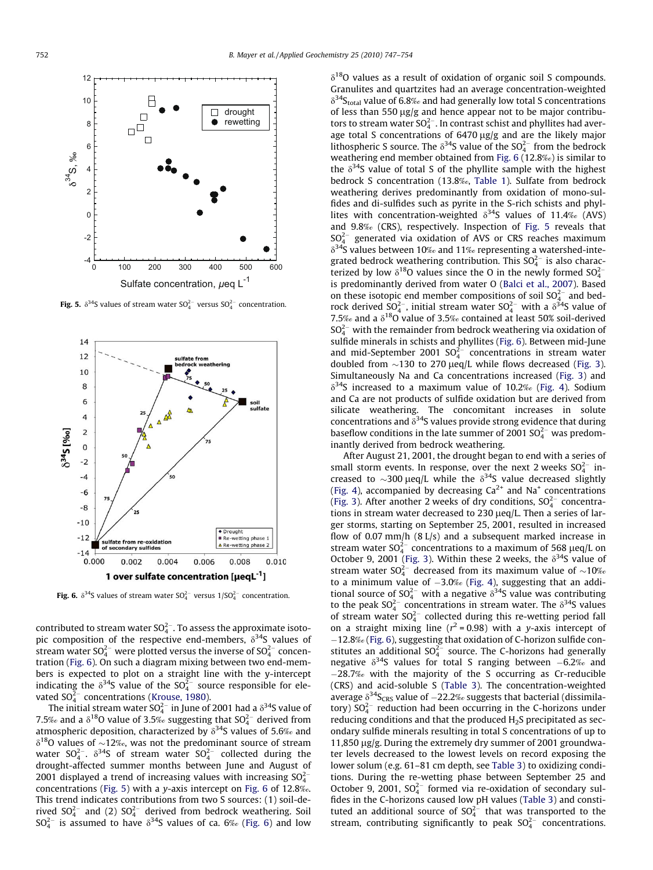<span id="page-5-0"></span>

**Fig. 5.**  $\delta^{34}$ S values of stream water SO<sup>2-</sup> versus SO<sup>2-</sup> concentration.



**Fig. 6.**  $\delta^{34}$ S values of stream water SO<sup>2-</sup> versus 1/SO<sup>2-</sup> concentration.

contributed to stream water SO $_4^{2-}$ . To assess the approximate isotopic composition of the respective end-members,  $\delta^{34}$ S values of stream water SO $_4^{2-}$  were plotted versus the inverse of SO $_4^{2-}$  concentration (Fig. 6). On such a diagram mixing between two end-members is expected to plot on a straight line with the y-intercept indicating the  $\delta^{34}$ S value of the SO $_4^{2-}$  source responsible for elevated SO $_4^{2-}$  concentrations [\(Krouse, 1980\)](#page-6-0).

The initial stream water SO $_4^{2-}$  in June of 2001 had a  $\delta^{34}$ S value of 7.5‰ and a  $\delta^{18}$ O value of 3.5‰ suggesting that SO $_4^{2-}$  derived from atmospheric deposition, characterized by  $\delta^{34}$ S values of 5.6‰ and  $\delta^{18}$ O values of ~12‰, was not the predominant source of stream water SO $_4^{2-}$ .  $\delta^{34}$ S of stream water SO $_4^{2-}$  collected during the drought-affected summer months between June and August of 2001 displayed a trend of increasing values with increasing SO $_4^{2-}$ concentrations (Fig. 5) with a y-axis intercept on Fig. 6 of 12.8‰. This trend indicates contributions from two S sources: (1) soil-derived SO $_4^{2-}$  and (2) SO $_4^{2-}$  derived from bedrock weathering. Soil  $SO_4^{2-}$  is assumed to have  $\delta^{34}S$  values of ca. 6‰ (Fig. 6) and low

 $\delta^{18}$ O values as a result of oxidation of organic soil S compounds. Granulites and quartzites had an average concentration-weighted  $\delta^{34}$ S<sub>total</sub> value of 6.8‰ and had generally low total S concentrations of less than 550  $\mu$ g/g and hence appear not to be major contributors to stream water  $SO_4^{2-}$ . In contrast schist and phyllites had average total S concentrations of 6470 µg/g and are the likely major lithospheric S source. The  $\delta^{34}$ S value of the SO<sup>2-</sup> from the bedrock weathering end member obtained from Fig. 6 (12.8‰) is similar to the  $\delta^{34}$ S value of total S of the phyllite sample with the highest bedrock S concentration (13.8‰, [Table 1\)](#page-3-0). Sulfate from bedrock weathering derives predominantly from oxidation of mono-sulfides and di-sulfides such as pyrite in the S-rich schists and phyllites with concentration-weighted  $\delta^{34}S$  values of 11.4‰ (AVS) and 9.8‰ (CRS), respectively. Inspection of Fig. 5 reveals that  $SO_4^{2-}$  generated via oxidation of AVS or CRS reaches maximum  $\delta^{34}$ S values between 10‰ and 11‰ representing a watershed-integrated bedrock weathering contribution. This  $SO_4^{2-}$  is also characterized by low  $\delta^{18}$ O values since the O in the newly formed  $SO_4^{2-}$ is predominantly derived from water O [\(Balci et al., 2007\)](#page-6-0). Based on these isotopic end member compositions of soil  $SO_4^{2-}$  and bedrock derived  $SO_4^{2-}$ , initial stream water  $SO_4^{2-}$  with a  $\delta^{34}$ S value of 7.5‰ and a  $\delta^{18}O$  value of 3.5‰ contained at least 50% soil-derived  $SO_4^{2-}$  with the remainder from bedrock weathering via oxidation of sulfide minerals in schists and phyllites (Fig. 6). Between mid-June and mid-September 2001  $SO_4^{2-}$  concentrations in stream water doubled from  $\sim$ 130 to 270  $\mu$ eq/L while flows decreased ([Fig. 3\)](#page-4-0). Simultaneously Na and Ca concentrations increased ([Fig. 3](#page-4-0)) and  $\delta^{34}$ S increased to a maximum value of 10.2‰ ([Fig. 4\)](#page-4-0). Sodium and Ca are not products of sulfide oxidation but are derived from silicate weathering. The concomitant increases in solute concentrations and  $\delta^{34}$ S values provide strong evidence that during baseflow conditions in the late summer of 2001  $SO_4^{2-}$  was predominantly derived from bedrock weathering.

After August 21, 2001, the drought began to end with a series of small storm events. In response, over the next 2 weeks  $SO_4^{2-}$  increased to  $\sim$ 300 µeq/L while the  $\delta$ <sup>34</sup>S value decreased slightly ([Fig. 4\)](#page-4-0), accompanied by decreasing  $Ca^{2+}$  and Na<sup>+</sup> concentrations ([Fig. 3\)](#page-4-0). After another 2 weeks of dry conditions,  $SO_4^{2-}$  concentrations in stream water decreased to 230  $\mu$ eq/L. Then a series of larger storms, starting on September 25, 2001, resulted in increased flow of 0.07 mm/h (8 L/s) and a subsequent marked increase in stream water  $SO_4^{2-}$  concentrations to a maximum of 568  $\mu$ eq/L on October 9, 2001 ([Fig. 3\)](#page-4-0). Within these 2 weeks, the  $\delta^{34}$ S value of stream water  $SO_4^{2-}$  decreased from its maximum value of  $\sim$ 10‰ to a minimum value of  $-3.0\%$  [\(Fig. 4\)](#page-4-0), suggesting that an additional source of  $SO_4^{2-}$  with a negative  $\delta^{34}S$  value was contributing to the peak  $SO_4^{2-}$  concentrations in stream water. The  $\delta^{34}S$  values of stream water  $SO_4^{2-}$  collected during this re-wetting period fall on a straight mixing line ( $r^2$  = 0.98) with a y-axis intercept of -12.8‰ (Fig. 6), suggesting that oxidation of C-horizon sulfide constitutes an additional  $SO_4^{2-}$  source. The C-horizons had generally negative  $\delta^{34}$ S values for total S ranging between  $-6.2\%$  and  $-28.7%$  with the majority of the S occurring as Cr-reducible (CRS) and acid-soluble S ([Table 3](#page-4-0)). The concentration-weighted average  $\delta^{34}S_{CRS}$  value of  $-22.2\%$  suggests that bacterial (dissimilatory)  $SO_4^{2-}$  reduction had been occurring in the C-horizons under reducing conditions and that the produced  $H_2S$  precipitated as secondary sulfide minerals resulting in total S concentrations of up to 11,850 µg/g. During the extremely dry summer of 2001 groundwater levels decreased to the lowest levels on record exposing the lower solum (e.g. 61–81 cm depth, see [Table 3](#page-4-0)) to oxidizing conditions. During the re-wetting phase between September 25 and October 9, 2001,  $SO_4^{2-}$  formed via re-oxidation of secondary sulfides in the C-horizons caused low pH values [\(Table 3\)](#page-4-0) and constituted an additional source of  $SO_4^{2-}$  that was transported to the stream, contributing significantly to peak  $SO_4^{2-}$  concentrations.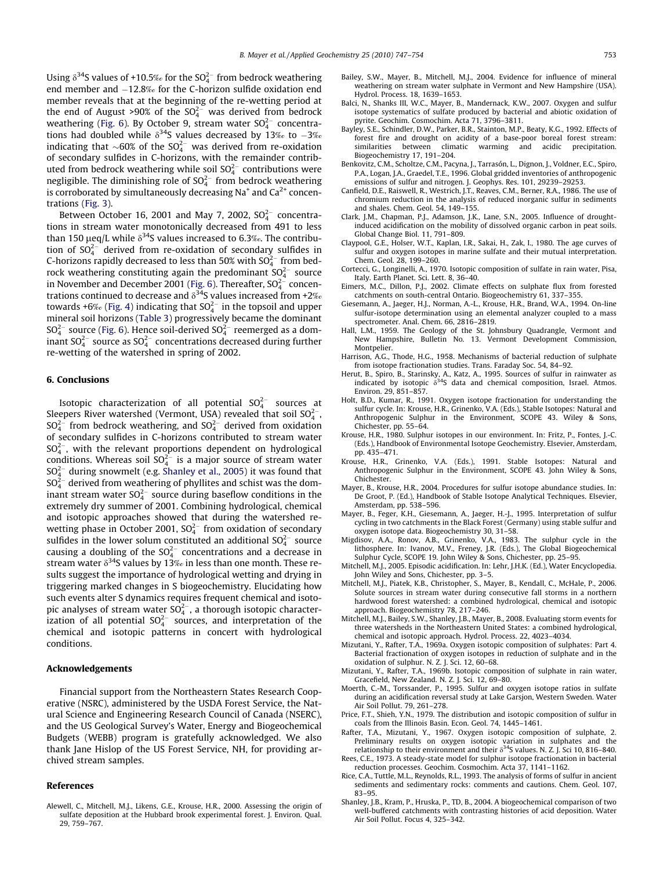<span id="page-6-0"></span>Using  $\delta^{34}$ S values of +10.5‰ for the SO $_4^{2-}$  from bedrock weathering end member and -12.8‰ for the C-horizon sulfide oxidation end member reveals that at the beginning of the re-wetting period at the end of August >90% of the  $SO_4^{2-}$  was derived from bedrock weathering ([Fig. 6\)](#page-5-0). By October 9, stream water  $SO_4^{2-}$  concentrations had doubled while  $\delta^{34}$ S values decreased by 13‰ to  $-3$ ‰ indicating that  $\sim$ 60% of the SO $_4^{2-}$  was derived from re-oxidation of secondary sulfides in C-horizons, with the remainder contributed from bedrock weathering while soil  $SO_4^{2-}$  contributions were negligible. The diminishing role of  $SO_4^{2-}$  from bedrock weathering is corroborated by simultaneously decreasing  $Na<sup>+</sup>$  and  $Ca<sup>2+</sup>$  concentrations ([Fig. 3](#page-4-0)).

Between October 16, 2001 and May 7, 2002,  $SO_4^{2-}$  concentrations in stream water monotonically decreased from 491 to less than 150 µeq/L while  $\delta^{34}$ S values increased to 6.3‰. The contribution of SO $_4^{2-}$  derived from re-oxidation of secondary sulfides in C-horizons rapidly decreased to less than 50% with  $SO_4^{2-}$  from bedrock weathering constituting again the predominant SO $_4^{2-}$  source in November and December 2001 ([Fig. 6\)](#page-5-0). Thereafter, SO $_4^{2-}$  concentrations continued to decrease and  $\delta^{34}$ S values increased from +2‰ towards +6‰ ([Fig. 4\)](#page-4-0) indicating that SO $_4^{2-}$  in the topsoil and upper mineral soil horizons ([Table 3](#page-4-0)) progressively became the dominant  $SO_4^{2-}$  source ([Fig. 6\)](#page-5-0). Hence soil-derived  $SO_4^{2-}$  reemerged as a dominant SO $_4^{2-}$  source as SO $_4^{2-}$  concentrations decreased during further re-wetting of the watershed in spring of 2002.

#### 6. Conclusions

Isotopic characterization of all potential  $SO_4^{2-}$  sources at Sleepers River watershed (Vermont, USA) revealed that soil SO $_4^{2-},$  $SO_4^{2-}$  from bedrock weathering, and  $SO_4^{2-}$  derived from oxidation of secondary sulfides in C-horizons contributed to stream water  $SO_4^{2-}$ , with the relevant proportions dependent on hydrological conditions. Whereas soil SO $_4^{2-}$  is a major source of stream water  $\mathrm{SO}_4^{2-}$  during snowmelt (e.g. [Shanley et al., 2005\)](#page-7-0) it was found that  $SO_4^{2-}$  derived from weathering of phyllites and schist was the dominant stream water SO $_4^{2-}$  source during baseflow conditions in the extremely dry summer of 2001. Combining hydrological, chemical and isotopic approaches showed that during the watershed rewetting phase in October 2001, SO $_4^{2-}$  from oxidation of secondary sulfides in the lower solum constituted an additional  $SO_4^{2-}$  source causing a doubling of the  $SO_4^{2-}$  concentrations and a decrease in stream water  $\delta^{34}$ S values by 13‰ in less than one month. These results suggest the importance of hydrological wetting and drying in triggering marked changes in S biogeochemistry. Elucidating how such events alter S dynamics requires frequent chemical and isotopic analyses of stream water  $SO_4^{2-}$ , a thorough isotopic characterization of all potential  $SO_4^{2-}$  sources, and interpretation of the chemical and isotopic patterns in concert with hydrological conditions.

#### Acknowledgements

Financial support from the Northeastern States Research Cooperative (NSRC), administered by the USDA Forest Service, the Natural Science and Engineering Research Council of Canada (NSERC), and the US Geological Survey's Water, Energy and Biogeochemical Budgets (WEBB) program is gratefully acknowledged. We also thank Jane Hislop of the US Forest Service, NH, for providing archived stream samples.

## References

Alewell, C., Mitchell, M.J., Likens, G.E., Krouse, H.R., 2000. Assessing the origin of sulfate deposition at the Hubbard brook experimental forest. J. Environ. Qual. 29, 759–767.

- Bailey, S.W., Mayer, B., Mitchell, M.J., 2004. Evidence for influence of mineral weathering on stream water sulphate in Vermont and New Hampshire (USA). Hydrol. Process. 18, 1639–1653.
- Balci, N., Shanks III, W.C., Mayer, B., Mandernack, K.W., 2007. Oxygen and sulfur isotope systematics of sulfate produced by bacterial and abiotic oxidation of pyrite. Geochim. Cosmochim. Acta 71, 3796–3811.
- Bayley, S.E., Schindler, D.W., Parker, B.R., Stainton, M.P., Beaty, K.G., 1992. Effects of forest fire and drought on acidity of a base-poor boreal forest stream: similarities between climatic warming and acidic precipitation. Biogeochemistry 17, 191–204.
- Benkovitz, C.M., Scholtze, C.M., Pacyna, J., Tarrasón, L., Dignon, J., Voldner, E.C., Spiro, P.A., Logan, J.A., Graedel, T.E., 1996. Global gridded inventories of anthropogenic emissions of sulfur and nitrogen. J. Geophys. Res. 101, 29239–29253.
- Canfield, D.E., Raiswell, R., Westrich, J.T., Reaves, C.M., Berner, R.A., 1986. The use of chromium reduction in the analysis of reduced inorganic sulfur in sediments and shales. Chem. Geol. 54, 149–155.
- Clark, J.M., Chapman, P.J., Adamson, J.K., Lane, S.N., 2005. Influence of droughtinduced acidification on the mobility of dissolved organic carbon in peat soils. Global Change Biol. 11, 791–809.
- Claypool, G.E., Holser, W.T., Kaplan, I.R., Sakai, H., Zak, I., 1980. The age curves of sulfur and oxygen isotopes in marine sulfate and their mutual interpretation. Chem. Geol. 28, 199–260.
- Cortecci, G., Longinelli, A., 1970. Isotopic composition of sulfate in rain water, Pisa, Italy. Earth Planet. Sci. Lett. 8, 36–40.
- Eimers, M.C., Dillon, P.J., 2002. Climate effects on sulphate flux from forested catchments on south-central Ontario. Biogeochemistry 61, 337–355.
- Giesemann, A., Jaeger, H.J., Norman, A.-L., Krouse, H.R., Brand, W.A., 1994. On-line sulfur-isotope determination using an elemental analyzer coupled to a mass spectrometer. Anal. Chem. 66, 2816–2819.
- Hall, L.M., 1959. The Geology of the St. Johnsbury Quadrangle, Vermont and New Hampshire, Bulletin No. 13. Vermont Development Commission, Montpelier.
- Harrison, A.G., Thode, H.G., 1958. Mechanisms of bacterial reduction of sulphate from isotope fractionation studies. Trans. Faraday Soc. 54, 84–92.
- Herut, B., Spiro, B., Starinsky, A., Katz, A., 1995. Sources of sulfur in rainwater as indicated by isotopic  $\delta^{34}S$  data and chemical composition, Israel. Atmos. Environ. 29, 851–857.
- Holt, B.D., Kumar, R., 1991. Oxygen isotope fractionation for understanding the sulfur cycle. In: Krouse, H.R., Grinenko, V.A. (Eds.), Stable Isotopes: Natural and Anthropogenic Sulphur in the Environment, SCOPE 43. Wiley & Sons, Chichester, pp. 55–64.
- Krouse, H.R., 1980. Sulphur isotopes in our environment. In: Fritz, P., Fontes, J.-C. (Eds.), Handbook of Environmental Isotope Geochemistry. Elsevier, Amsterdam, pp. 435–471.
- Krouse, H.R., Grinenko, V.A. (Eds.), 1991. Stable Isotopes: Natural and Anthropogenic Sulphur in the Environment, SCOPE 43. John Wiley & Sons, Chichester.
- Mayer, B., Krouse, H.R., 2004. Procedures for sulfur isotope abundance studies. In: De Groot, P. (Ed.), Handbook of Stable Isotope Analytical Techniques. Elsevier, Amsterdam, pp. 538–596.
- Mayer, B., Feger, K.H., Giesemann, A., Jaeger, H.-J., 1995. Interpretation of sulfur cycling in two catchments in the Black Forest (Germany) using stable sulfur and oxygen isotope data. Biogeochemistry 30, 31–58.
- Migdisov, A.A., Ronov, A.B., Grinenko, V.A., 1983. The sulphur cycle in the lithosphere. In: Ivanov, M.V., Freney, J.R. (Eds.), The Global Biogeochemical Sulphur Cycle, SCOPE 19. John Wiley & Sons, Chichester, pp. 25–95.
- Mitchell, M.J., 2005. Episodic acidification. In: Lehr, J.H.K. (Ed.), Water Encyclopedia. John Wiley and Sons, Chichester, pp. 3–5.
- Mitchell, M.J., Piatek, K.B., Christopher, S., Mayer, B., Kendall, C., McHale, P., 2006. Solute sources in stream water during consecutive fall storms in a northern hardwood forest watershed: a combined hydrological, chemical and isotopic approach. Biogeochemistry 78, 217–246.
- Mitchell, M.J., Bailey, S.W., Shanley, J.B., Mayer, B., 2008. Evaluating storm events for three watersheds in the Northeastern United States: a combined hydrological, chemical and isotopic approach. Hydrol. Process. 22, 4023–4034.
- Mizutani, Y., Rafter, T.A., 1969a. Oxygen isotopic composition of sulphates: Part 4. Bacterial fractionation of oxygen isotopes in reduction of sulphate and in the oxidation of sulphur. N. Z. J. Sci. 12, 60–68.
- Mizutani, Y., Rafter, T.A., 1969b. Isotopic composition of sulphate in rain water, Gracefield, New Zealand. N. Z. J. Sci. 12, 69–80.
- Moerth, C.-M., Torssander, P., 1995. Sulfur and oxygen isotope ratios in sulfate during an acidification reversal study at Lake Garsjon, Western Sweden. Water Air Soil Pollut. 79, 261–278.
- Price, F.T., Shieh, Y.N., 1979. The distribution and isotopic composition of sulfur in coals from the Illinois Basin. Econ. Geol. 74, 1445–1461.
- Rafter, T.A., Mizutani, Y., 1967. Oxygen isotopic composition of sulphate, 2. Preliminary results on oxygen isotopic variation in sulphates and the relationship to their environment and their  $\delta^{34}$ S values. N. Z. J. Sci 10, 816–840.
- Rees, C.E., 1973. A steady-state model for sulphur isotope fractionation in bacterial reduction processes. Geochim. Cosmochim. Acta 37, 1141–1162.
- Rice, C.A., Tuttle, M.L., Reynolds, R.L., 1993. The analysis of forms of sulfur in ancient sediments and sedimentary rocks: comments and cautions. Chem. Geol. 107, 83–95.
- Shanley, J.B., Kram, P., Hruska, P., TD, B., 2004. A biogeochemical comparison of two well-buffered catchments with contrasting histories of acid deposition. Water Air Soil Pollut. Focus 4, 325–342.